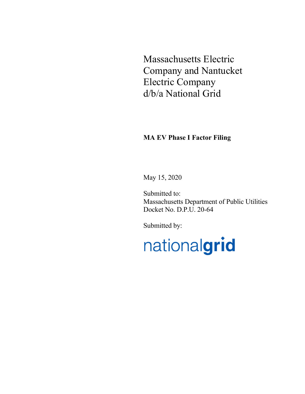Massachusetts Electric Company and Nantucket Electric Company d/b/a National Grid

# **MA EV Phase I Factor Filing**

May 15, 2020

Submitted to: Massachusetts Department of Public Utilities Docket No. D.P.U. 20-64

Submitted by:

nationalgrid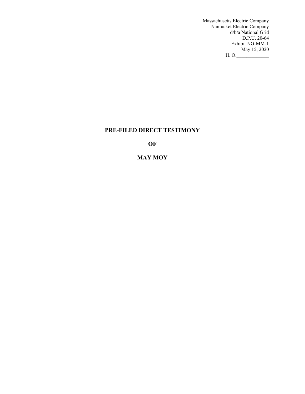Massachusetts Electric Company Nantucket Electric Company d/b/a National Grid D.P.U. 20-64 Exhibit NG-MM-1 May 15, 2020<br>H. O.  $\frac{1}{\sqrt{2}}$ 

# **PRE-FILED DIRECT TESTIMONY**

**OF**

# **MAY MOY**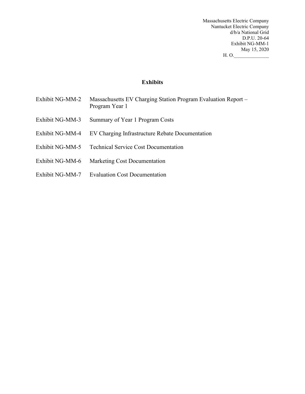Massachusetts Electric Company Nantucket Electric Company d/b/a National Grid D.P.U. 20-64 Exhibit NG-MM-1 May 15, 2020 H. O.\_\_\_\_\_\_\_\_\_\_\_\_\_\_

**Exhibits**

- Exhibit NG-MM-2 Massachusetts EV Charging Station Program Evaluation Report Program Year 1
- Exhibit NG-MM-3 Summary of Year 1 Program Costs
- Exhibit NG-MM-4 EV Charging Infrastructure Rebate Documentation
- Exhibit NG-MM-5 Technical Service Cost Documentation
- Exhibit NG-MM-6 Marketing Cost Documentation
- Exhibit NG-MM-7 Evaluation Cost Documentation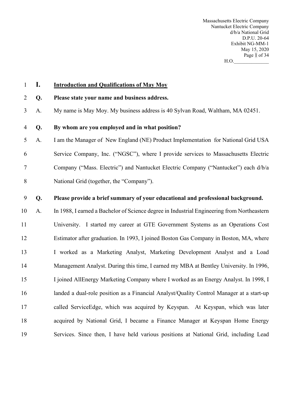Massachusetts Electric Company Nantucket Electric Company d/b/a National Grid D.P.U. 20-64 Exhibit NG-MM-1 May 15, 2020 Page 1 of 34  $H.O.$ 

# **I. Introduction and Qualifications of May Moy**

#### **Q. Please state your name and business address.**

A. My name is May Moy. My business address is 40 Sylvan Road, Waltham, MA 02451.

#### **Q. By whom are you employed and in what position?**

 A. I am the Manager of New England (NE) Product Implementation for National Grid USA Service Company, Inc. ("NGSC"), where I provide services to Massachusetts Electric Company ("Mass. Electric") and Nantucket Electric Company ("Nantucket") each d/b/a National Grid (together, the "Company").

### **Q. Please provide a brief summary of your educational and professional background.**

 A. In 1988, I earned a Bachelor of Science degree in Industrial Engineering from Northeastern University. I started my career at GTE Government Systems as an Operations Cost Estimator after graduation. In 1993, I joined Boston Gas Company in Boston, MA, where I worked as a Marketing Analyst, Marketing Development Analyst and a Load Management Analyst. During this time, I earned my MBA at Bentley University. In 1996, I joined AllEnergy Marketing Company where I worked as an Energy Analyst. In 1998, I landed a dual-role position as a Financial Analyst/Quality Control Manager at a start-up called ServiceEdge, which was acquired by Keyspan. At Keyspan, which was later acquired by National Grid, I became a Finance Manager at Keyspan Home Energy Services. Since then, I have held various positions at National Grid, including Lead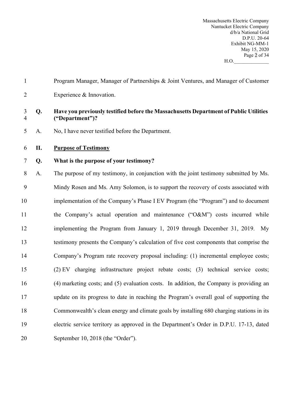Massachusetts Electric Company Nantucket Electric Company d/b/a National Grid D.P.U. 20-64 Exhibit NG-MM-1 May 15, 2020 Page 2 of 34  $H.O.$ 

| $\mathbf{1}$        |    | Program Manager, Manager of Partnerships & Joint Ventures, and Manager of Customer                       |
|---------------------|----|----------------------------------------------------------------------------------------------------------|
| $\overline{2}$      |    | Experience & Innovation.                                                                                 |
| 3<br>$\overline{4}$ | Q. | Have you previously testified before the Massachusetts Department of Public Utilities<br>("Department")? |
| 5                   | A. | No, I have never testified before the Department.                                                        |
| 6                   | П. | <b>Purpose of Testimony</b>                                                                              |
| 7                   | Q. | What is the purpose of your testimony?                                                                   |
| 8                   | A. | The purpose of my testimony, in conjunction with the joint testimony submitted by Ms.                    |
| 9                   |    | Mindy Rosen and Ms. Amy Solomon, is to support the recovery of costs associated with                     |
| 10                  |    | implementation of the Company's Phase I EV Program (the "Program") and to document                       |
| 11                  |    | the Company's actual operation and maintenance ("O&M") costs incurred while                              |
| 12                  |    | implementing the Program from January 1, 2019 through December 31, 2019. My                              |
| 13                  |    | testimony presents the Company's calculation of five cost components that comprise the                   |
| 14                  |    | Company's Program rate recovery proposal including: (1) incremental employee costs;                      |
| 15                  |    | (2) EV charging infrastructure project rebate costs; (3) technical service costs;                        |
| 16                  |    | (4) marketing costs; and (5) evaluation costs. In addition, the Company is providing an                  |
| 17                  |    | update on its progress to date in reaching the Program's overall goal of supporting the                  |
| 18                  |    | Commonwealth's clean energy and climate goals by installing 680 charging stations in its                 |
| 19                  |    | electric service territory as approved in the Department's Order in D.P.U. 17-13, dated                  |
| 20                  |    | September 10, 2018 (the "Order").                                                                        |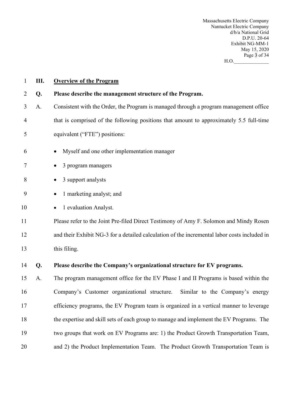Massachusetts Electric Company Nantucket Electric Company d/b/a National Grid D.P.U. 20-64 Exhibit NG-MM-1 May 15, 2020 Page 3 of 34 H.O.\_\_\_\_\_\_\_\_\_\_\_\_\_\_

| $\mathbf{1}$ | Ш. | <b>Overview of the Program</b>                                                               |  |  |  |
|--------------|----|----------------------------------------------------------------------------------------------|--|--|--|
| 2            | Q. | Please describe the management structure of the Program.                                     |  |  |  |
| 3            | A. | Consistent with the Order, the Program is managed through a program management office        |  |  |  |
| 4            |    | that is comprised of the following positions that amount to approximately 5.5 full-time      |  |  |  |
| 5            |    | equivalent ("FTE") positions:                                                                |  |  |  |
| 6            |    | Myself and one other implementation manager                                                  |  |  |  |
| 7            |    | 3 program managers                                                                           |  |  |  |
| 8            |    | 3 support analysts                                                                           |  |  |  |
| 9            |    | 1 marketing analyst; and<br>$\bullet$                                                        |  |  |  |
| 10           |    | 1 evaluation Analyst.<br>$\bullet$                                                           |  |  |  |
| 11           |    | Please refer to the Joint Pre-filed Direct Testimony of Amy F. Solomon and Mindy Rosen       |  |  |  |
| 12           |    | and their Exhibit NG-3 for a detailed calculation of the incremental labor costs included in |  |  |  |
| 13           |    | this filing.                                                                                 |  |  |  |
| 14           | Q. | Please describe the Company's organizational structure for EV programs.                      |  |  |  |
| 15           | A. | The program management office for the EV Phase I and II Programs is based within the         |  |  |  |
| 16           |    | Company's Customer organizational structure.<br>Similar to the Company's energy              |  |  |  |
| 17           |    | efficiency programs, the EV Program team is organized in a vertical manner to leverage       |  |  |  |
| 18           |    | the expertise and skill sets of each group to manage and implement the EV Programs. The      |  |  |  |
| 19           |    | two groups that work on EV Programs are: 1) the Product Growth Transportation Team,          |  |  |  |
| 20           |    | and 2) the Product Implementation Team. The Product Growth Transportation Team is            |  |  |  |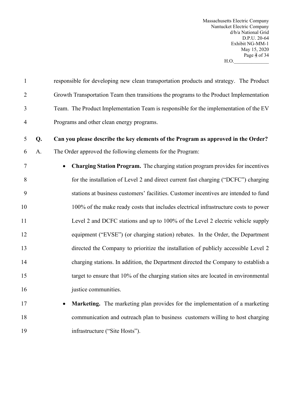Massachusetts Electric Company Nantucket Electric Company d/b/a National Grid D.P.U. 20-64 Exhibit NG-MM-1 May 15, 2020 Page 4 of 34 H.O.\_\_\_\_\_\_\_\_\_\_\_\_\_\_

| $\mathbf{1}$   |    | responsible for developing new clean transportation products and strategy. The Product      |
|----------------|----|---------------------------------------------------------------------------------------------|
| $\overline{2}$ |    | Growth Transportation Team then transitions the programs to the Product Implementation      |
| 3              |    | Team. The Product Implementation Team is responsible for the implementation of the EV       |
| $\overline{4}$ |    | Programs and other clean energy programs.                                                   |
| 5              | Q. | Can you please describe the key elements of the Program as approved in the Order?           |
| 6              | A. | The Order approved the following elements for the Program:                                  |
| $\tau$         |    | Charging Station Program. The charging station program provides for incentives<br>$\bullet$ |
| 8              |    | for the installation of Level 2 and direct current fast charging ("DCFC") charging          |
| 9              |    | stations at business customers' facilities. Customer incentives are intended to fund        |
| 10             |    | 100% of the make ready costs that includes electrical infrastructure costs to power         |
| 11             |    | Level 2 and DCFC stations and up to 100% of the Level 2 electric vehicle supply             |
| 12             |    | equipment ("EVSE") (or charging station) rebates. In the Order, the Department              |
| 13             |    | directed the Company to prioritize the installation of publicly accessible Level 2          |
| 14             |    | charging stations. In addition, the Department directed the Company to establish a          |
| 15             |    | target to ensure that 10% of the charging station sites are located in environmental        |
| 16             |    | justice communities.                                                                        |
| 17             |    | Marketing. The marketing plan provides for the implementation of a marketing                |
| 18             |    | communication and outreach plan to business customers willing to host charging              |
| 19             |    | infrastructure ("Site Hosts").                                                              |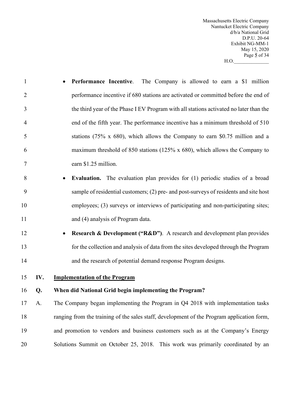Massachusetts Electric Company Nantucket Electric Company d/b/a National Grid D.P.U. 20-64 Exhibit NG-MM-1 May 15, 2020 Page 5 of 34  $H.O.$ 

- **Performance Incentive**. The Company is allowed to earn a \$1 million performance incentive if 680 stations are activated or committed before the end of the third year of the Phase I EV Program with all stations activated no later than the end of the fifth year. The performance incentive has a minimum threshold of 510 stations (75% x 680), which allows the Company to earn \$0.75 million and a maximum threshold of 850 stations (125% x 680), which allows the Company to earn \$1.25 million. • **Evaluation.** The evaluation plan provides for (1) periodic studies of a broad sample of residential customers; (2) pre- and post-surveys of residents and site host employees; (3) surveys or interviews of participating and non-participating sites; 11 and (4) analysis of Program data. • **Research & Development ("R&D")**. A research and development plan provides for the collection and analysis of data from the sites developed through the Program and the research of potential demand response Program designs.
- 

**IV. Implementation of the Program**

### **Q. When did National Grid begin implementing the Program?**

 A. The Company began implementing the Program in Q4 2018 with implementation tasks ranging from the training of the sales staff, development of the Program application form, and promotion to vendors and business customers such as at the Company's Energy Solutions Summit on October 25, 2018. This work was primarily coordinated by an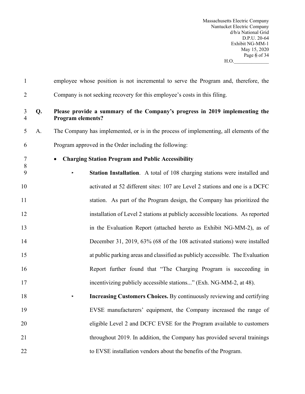Massachusetts Electric Company Nantucket Electric Company d/b/a National Grid D.P.U. 20-64 Exhibit NG-MM-1 May 15, 2020 Page 6 of 34 H.O.\_\_\_\_\_\_\_\_\_\_\_\_\_\_

| $\mathbf{1}$        |    | employee whose position is not incremental to serve the Program and, therefore, the                     |
|---------------------|----|---------------------------------------------------------------------------------------------------------|
| $\overline{2}$      |    | Company is not seeking recovery for this employee's costs in this filing.                               |
| 3<br>$\overline{4}$ | Q. | Please provide a summary of the Company's progress in 2019 implementing the<br><b>Program elements?</b> |
| 5                   | A. | The Company has implemented, or is in the process of implementing, all elements of the                  |
| 6                   |    | Program approved in the Order including the following:                                                  |
| 7<br>$8\,$          |    | <b>Charging Station Program and Public Accessibility</b><br>$\bullet$                                   |
| 9                   |    | Station Installation. A total of 108 charging stations were installed and                               |
| 10                  |    | activated at 52 different sites: 107 are Level 2 stations and one is a DCFC                             |
| 11                  |    | station. As part of the Program design, the Company has prioritized the                                 |
| 12                  |    | installation of Level 2 stations at publicly accessible locations. As reported                          |
| 13                  |    | in the Evaluation Report (attached hereto as Exhibit NG-MM-2), as of                                    |
| 14                  |    | December 31, 2019, 63% (68 of the 108 activated stations) were installed                                |
| 15                  |    | at public parking areas and classified as publicly accessible. The Evaluation                           |
| 16                  |    | Report further found that "The Charging Program is succeeding in                                        |
| 17                  |    | incentivizing publicly accessible stations" (Exh. NG-MM-2, at 48).                                      |
| 18                  |    | <b>Increasing Customers Choices.</b> By continuously reviewing and certifying                           |
| 19                  |    | EVSE manufacturers' equipment, the Company increased the range of                                       |
| 20                  |    | eligible Level 2 and DCFC EVSE for the Program available to customers                                   |
| 21                  |    | throughout 2019. In addition, the Company has provided several trainings                                |
| 22                  |    | to EVSE installation vendors about the benefits of the Program.                                         |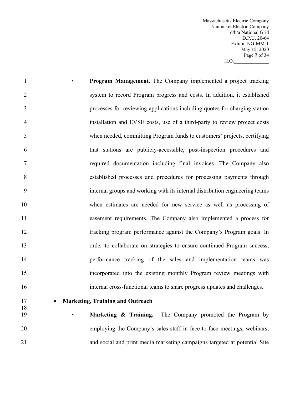Massachusetts Electric Company Nantucket Electric Company d/b/a National Grid D.P.U. 20-64 Exhibit NG-MM-1 May 15, 2020 Page 7 of 34  $H.O.$ 

 **‣ Program Management.** The Company implemented a project tracking system to record Program progress and costs. In addition, it established processes for reviewing applications including quotes for charging station installation and EVSE costs, use of a third-party to review project costs when needed, committing Program funds to customers' projects, certifying that stations are publicly-accessible, post-inspection procedures and required documentation including final invoices. The Company also established processes and procedures for processing payments through internal groups and working with its internal distribution engineering teams when estimates are needed for new service as well as processing of easement requirements. The Company also implemented a process for tracking program performance against the Company's Program goals. In order to collaborate on strategies to ensure continued Program success, performance tracking of the sales and implementation teams was incorporated into the existing monthly Program review meetings with internal cross-functional teams to share progress updates and challenges. • **Marketing, Training and Outreach**  

 **‣ Marketing & Training.** The Company promoted the Program by employing the Company's sales staff in face-to-face meetings, webinars, and social and print media marketing campaigns targeted at potential Site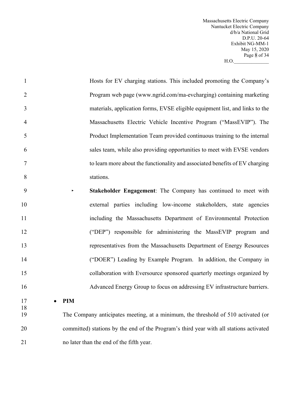Massachusetts Electric Company Nantucket Electric Company d/b/a National Grid D.P.U. 20-64 Exhibit NG-MM-1 May 15, 2020 Page 8 of 34  $H.O.$   $\qquad \qquad$ 

| $\mathbf{1}$   | Hosts for EV charging stations. This included promoting the Company's                   |
|----------------|-----------------------------------------------------------------------------------------|
| $\overline{2}$ | Program web page (www.ngrid.com/ma-evcharging) containing marketing                     |
| 3              | materials, application forms, EVSE eligible equipment list, and links to the            |
| $\overline{4}$ | Massachusetts Electric Vehicle Incentive Program ("MassEVIP"). The                      |
| 5              | Product Implementation Team provided continuous training to the internal                |
| 6              | sales team, while also providing opportunities to meet with EVSE vendors                |
| 7              | to learn more about the functionality and associated benefits of EV charging            |
| 8              | stations.                                                                               |
| 9              | Stakeholder Engagement: The Company has continued to meet with<br>$\blacktriangleright$ |
| 10             | external parties including low-income stakeholders, state agencies                      |
| 11             | including the Massachusetts Department of Environmental Protection                      |
| 12             | ("DEP") responsible for administering the MassEVIP program and                          |
| 13             | representatives from the Massachusetts Department of Energy Resources                   |
| 14             | ("DOER") Leading by Example Program. In addition, the Company in                        |
| 15             | collaboration with Eversource sponsored quarterly meetings organized by                 |
| 16             | Advanced Energy Group to focus on addressing EV infrastructure barriers.                |
| 17             | <b>PIM</b>                                                                              |
| 18<br>19       | The Company anticipates meeting, at a minimum, the threshold of 510 activated (or       |
| 20             | committed) stations by the end of the Program's third year with all stations activated  |
|                |                                                                                         |

no later than the end of the fifth year.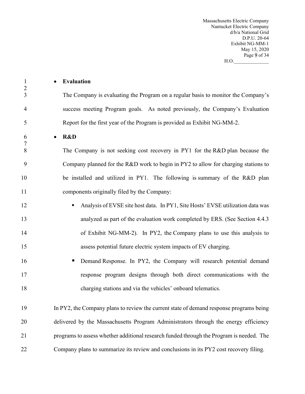Massachusetts Electric Company Nantucket Electric Company d/b/a National Grid D.P.U. 20-64 Exhibit NG-MM-1 May 15, 2020 Page 9 of 34 H.O.\_\_\_\_\_\_\_\_\_\_\_\_\_\_

| $\mathbf{1}$<br>$\overline{2}$ | Evaluation<br>$\bullet$                                                                  |
|--------------------------------|------------------------------------------------------------------------------------------|
| 3                              | The Company is evaluating the Program on a regular basis to monitor the Company's        |
| 4                              | success meeting Program goals. As noted previously, the Company's Evaluation             |
| 5                              | Report for the first year of the Program is provided as Exhibit NG-MM-2.                 |
| 6                              | R&D<br>$\bullet$                                                                         |
| 7<br>8                         | The Company is not seeking cost recovery in PY1 for the R&D plan because the             |
| 9                              | Company planned for the R&D work to begin in PY2 to allow for charging stations to       |
| 10                             | be installed and utilized in PY1. The following is summary of the R&D plan               |
| 11                             | components originally filed by the Company:                                              |
| 12                             | Analysis of EVSE site host data. In PY1, Site Hosts' EVSE utilization data was           |
| 13                             | analyzed as part of the evaluation work completed by ERS. (See Section 4.4.3)            |
| 14                             | of Exhibit NG-MM-2). In PY2, the Company plans to use this analysis to                   |
| 15                             | assess potential future electric system impacts of EV charging.                          |
| 16                             | Demand Response. In PY2, the Company will research potential demand<br>п                 |
| 17                             | response program designs through both direct communications with the                     |
| 18                             | charging stations and via the vehicles' onboard telematics.                              |
|                                |                                                                                          |
| 19                             | In PY2, the Company plans to review the current state of demand response programs being  |
| 20                             | delivered by the Massachusetts Program Administrators through the energy efficiency      |
| 21                             | programs to assess whether additional research funded through the Program is needed. The |
| 22                             | Company plans to summarize its review and conclusions in its PY2 cost recovery filing.   |
|                                |                                                                                          |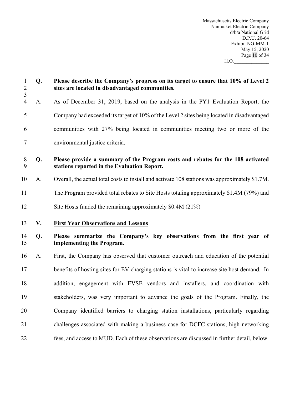Massachusetts Electric Company Nantucket Electric Company d/b/a National Grid D.P.U. 20-64 Exhibit NG-MM-1 May 15, 2020 Page 10 of 34  $H.O.$   $\qquad \qquad \tilde{C} =$ 

| $\mathbf{1}$<br>$\frac{2}{3}$ | Q. | Please describe the Company's progress on its target to ensure that 10% of Level 2<br>sites are located in disadvantaged communities. |  |
|-------------------------------|----|---------------------------------------------------------------------------------------------------------------------------------------|--|
| $\overline{4}$                | A. | As of December 31, 2019, based on the analysis in the PY1 Evaluation Report, the                                                      |  |
| 5                             |    | Company had exceeded its target of 10% of the Level 2 sites being located in disadvantaged                                            |  |
| 6                             |    | communities with 27% being located in communities meeting two or more of the                                                          |  |
| 7                             |    | environmental justice criteria.                                                                                                       |  |
| $8\phantom{.}$<br>9           | Q. | Please provide a summary of the Program costs and rebates for the 108 activated<br>stations reported in the Evaluation Report.        |  |
| 10                            | A. | Overall, the actual total costs to install and activate 108 stations was approximately \$1.7M.                                        |  |
| 11                            |    | The Program provided total rebates to Site Hosts totaling approximately \$1.4M (79%) and                                              |  |
| 12                            |    | Site Hosts funded the remaining approximately \$0.4M (21%)                                                                            |  |
| 13                            | V. | <b>First Year Observations and Lessons</b>                                                                                            |  |
| 14<br>15                      | Q. | Please summarize the Company's key observations from the first year of<br>implementing the Program.                                   |  |
| 16                            | A. | First, the Company has observed that customer outreach and education of the potential                                                 |  |
| 17                            |    | benefits of hosting sites for EV charging stations is vital to increase site host demand. In                                          |  |
| 18                            |    | addition, engagement with EVSE vendors and installers, and coordination with                                                          |  |
| 19                            |    | stakeholders, was very important to advance the goals of the Program. Finally, the                                                    |  |
| 20                            |    | Company identified barriers to charging station installations, particularly regarding                                                 |  |
| 21                            |    | challenges associated with making a business case for DCFC stations, high networking                                                  |  |
| 22                            |    | fees, and access to MUD. Each of these observations are discussed in further detail, below.                                           |  |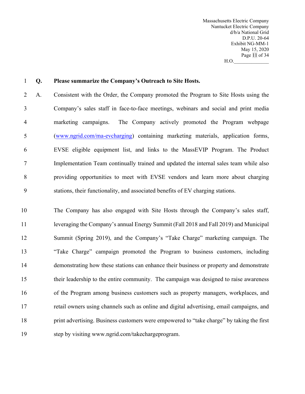Massachusetts Electric Company Nantucket Electric Company d/b/a National Grid D.P.U. 20-64 Exhibit NG-MM-1 May 15, 2020 Page 11 of 34  $H.O.$ 

#### **Q. Please summarize the Company's Outreach to Site Hosts.**

 A. Consistent with the Order, the Company promoted the Program to Site Hosts using the Company's sales staff in face-to-face meetings, webinars and social and print media marketing campaigns. The Company actively promoted the Program webpage (www.ngrid.com/ma-evcharging) containing marketing materials, application forms, EVSE eligible equipment list, and links to the MassEVIP Program. The Product Implementation Team continually trained and updated the internal sales team while also providing opportunities to meet with EVSE vendors and learn more about charging stations, their functionality, and associated benefits of EV charging stations.

 The Company has also engaged with Site Hosts through the Company's sales staff, leveraging the Company's annual Energy Summit (Fall 2018 and Fall 2019) and Municipal Summit (Spring 2019), and the Company's "Take Charge" marketing campaign. The "Take Charge" campaign promoted the Program to business customers, including demonstrating how these stations can enhance their business or property and demonstrate their leadership to the entire community. The campaign was designed to raise awareness of the Program among business customers such as property managers, workplaces, and retail owners using channels such as online and digital advertising, email campaigns, and print advertising. Business customers were empowered to "take charge" by taking the first step by visiting www.ngrid.com/takechargeprogram.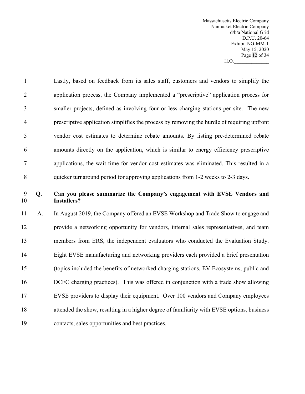Massachusetts Electric Company Nantucket Electric Company d/b/a National Grid D.P.U. 20-64 Exhibit NG-MM-1 May 15, 2020 Page 12 of 34  $H.O.$ 

 Lastly, based on feedback from its sales staff, customers and vendors to simplify the application process, the Company implemented a "prescriptive" application process for smaller projects, defined as involving four or less charging stations per site. The new prescriptive application simplifies the process by removing the hurdle of requiring upfront vendor cost estimates to determine rebate amounts. By listing pre-determined rebate amounts directly on the application, which is similar to energy efficiency prescriptive applications, the wait time for vendor cost estimates was eliminated. This resulted in a quicker turnaround period for approving applications from 1-2 weeks to 2-3 days.

# **Q. Can you please summarize the Company's engagement with EVSE Vendors and Installers?**

 A. In August 2019, the Company offered an EVSE Workshop and Trade Show to engage and provide a networking opportunity for vendors, internal sales representatives, and team members from ERS, the independent evaluators who conducted the Evaluation Study. Eight EVSE manufacturing and networking providers each provided a brief presentation (topics included the benefits of networked charging stations, EV Ecosystems, public and DCFC charging practices). This was offered in conjunction with a trade show allowing EVSE providers to display their equipment. Over 100 vendors and Company employees attended the show, resulting in a higher degree of familiarity with EVSE options, business contacts, sales opportunities and best practices.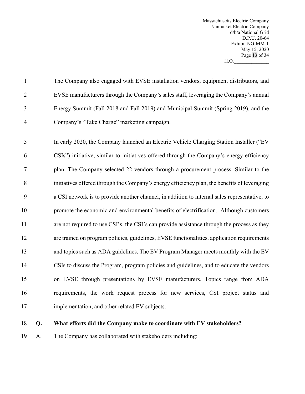Massachusetts Electric Company Nantucket Electric Company d/b/a National Grid D.P.U. 20-64 Exhibit NG-MM-1 May 15, 2020 Page 13 of 34  $H.O.$ 

|   | The Company also engaged with EVSE installation vendors, equipment distributors, and  |
|---|---------------------------------------------------------------------------------------|
| 2 | EVSE manufacturers through the Company's sales staff, leveraging the Company's annual |
| 3 | Energy Summit (Fall 2018 and Fall 2019) and Municipal Summit (Spring 2019), and the   |
| 4 | Company's "Take Charge" marketing campaign.                                           |

 In early 2020, the Company launched an Electric Vehicle Charging Station Installer ("EV CSIs") initiative, similar to initiatives offered through the Company's energy efficiency plan. The Company selected 22 vendors through a procurement process. Similar to the initiatives offered through the Company's energy efficiency plan, the benefits of leveraging a CSI network is to provide another channel, in addition to internal sales representative, to promote the economic and environmental benefits of electrification. Although customers 11 are not required to use CSI's, the CSI's can provide assistance through the process as they are trained on program policies, guidelines, EVSE functionalities, application requirements 13 and topics such as ADA guidelines. The EV Program Manager meets monthly with the EV CSIs to discuss the Program, program policies and guidelines, and to educate the vendors on EVSE through presentations by EVSE manufacturers. Topics range from ADA requirements, the work request process for new services, CSI project status and implementation, and other related EV subjects.

#### **Q. What efforts did the Company make to coordinate with EV stakeholders?**

A. The Company has collaborated with stakeholders including: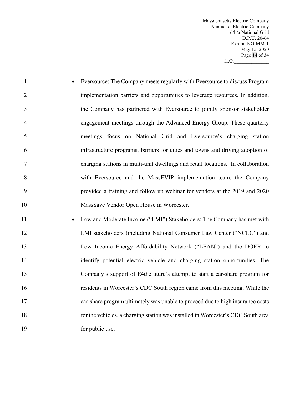Massachusetts Electric Company Nantucket Electric Company d/b/a National Grid D.P.U. 20-64 Exhibit NG-MM-1 May 15, 2020 Page 14 of 34  $H.O.$ 

- Eversource: The Company meets regularly with Eversource to discuss Program implementation barriers and opportunities to leverage resources. In addition, the Company has partnered with Eversource to jointly sponsor stakeholder engagement meetings through the Advanced Energy Group. These quarterly meetings focus on National Grid and Eversource's charging station infrastructure programs, barriers for cities and towns and driving adoption of charging stations in multi-unit dwellings and retail locations. In collaboration with Eversource and the MassEVIP implementation team, the Company provided a training and follow up webinar for vendors at the 2019 and 2020 MassSave Vendor Open House in Worcester.
- Low and Moderate Income ("LMI") Stakeholders: The Company has met with LMI stakeholders (including National Consumer Law Center ("NCLC") and Low Income Energy Affordability Network ("LEAN") and the DOER to identify potential electric vehicle and charging station opportunities. The Company's support of E4thefuture's attempt to start a car-share program for residents in Worcester's CDC South region came from this meeting. While the car-share program ultimately was unable to proceed due to high insurance costs for the vehicles, a charging station was installed in Worcester's CDC South area 19 for public use.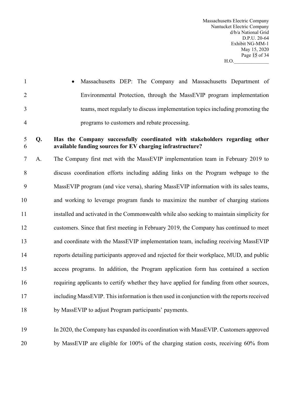Massachusetts Electric Company Nantucket Electric Company d/b/a National Grid D.P.U. 20-64 Exhibit NG-MM-1 May 15, 2020 Page 15 of 34  $H.O.$ 

 • Massachusetts DEP: The Company and Massachusetts Department of Environmental Protection, through the MassEVIP program implementation teams, meet regularly to discuss implementation topics including promoting the programs to customers and rebate processing.

### **Q. Has the Company successfully coordinated with stakeholders regarding other available funding sources for EV charging infrastructure?**

 A. The Company first met with the MassEVIP implementation team in February 2019 to discuss coordination efforts including adding links on the Program webpage to the MassEVIP program (and vice versa), sharing MassEVIP information with its sales teams, and working to leverage program funds to maximize the number of charging stations installed and activated in the Commonwealth while also seeking to maintain simplicity for customers. Since that first meeting in February 2019, the Company has continued to meet and coordinate with the MassEVIP implementation team, including receiving MassEVIP reports detailing participants approved and rejected for their workplace, MUD, and public access programs. In addition, the Program application form has contained a section requiring applicants to certify whether they have applied for funding from other sources, including MassEVIP. This information is then used in conjunction with the reports received by MassEVIP to adjust Program participants' payments.

 In 2020, the Company has expanded its coordination with MassEVIP. Customers approved by MassEVIP are eligible for 100% of the charging station costs, receiving 60% from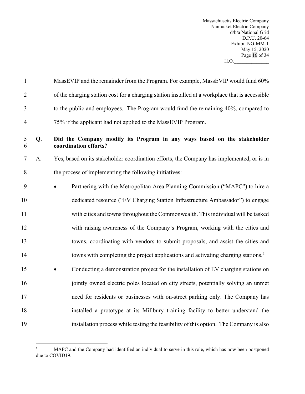Massachusetts Electric Company Nantucket Electric Company d/b/a National Grid D.P.U. 20-64 Exhibit NG-MM-1 May 15, 2020 Page 16 of 34  $H.O.$ 

| $\mathbf{1}$   |    | MassEVIP and the remainder from the Program. For example, MassEVIP would fund 60%                |  |  |  |
|----------------|----|--------------------------------------------------------------------------------------------------|--|--|--|
| $\overline{2}$ |    | of the charging station cost for a charging station installed at a workplace that is accessible  |  |  |  |
| 3              |    | to the public and employees. The Program would fund the remaining 40%, compared to               |  |  |  |
| $\overline{4}$ |    | 75% if the applicant had not applied to the MassEVIP Program.                                    |  |  |  |
| 5<br>6         | Q. | Did the Company modify its Program in any ways based on the stakeholder<br>coordination efforts? |  |  |  |
| 7              | A. | Yes, based on its stakeholder coordination efforts, the Company has implemented, or is in        |  |  |  |
| 8              |    | the process of implementing the following initiatives:                                           |  |  |  |
| 9              |    | Partnering with the Metropolitan Area Planning Commission ("MAPC") to hire a                     |  |  |  |
| 10             |    | dedicated resource ("EV Charging Station Infrastructure Ambassador") to engage                   |  |  |  |
| 11             |    | with cities and towns throughout the Commonwealth. This individual will be tasked                |  |  |  |
| 12             |    | with raising awareness of the Company's Program, working with the cities and                     |  |  |  |
| 13             |    | towns, coordinating with vendors to submit proposals, and assist the cities and                  |  |  |  |
| 14             |    | towns with completing the project applications and activating charging stations. <sup>1</sup>    |  |  |  |
| 15             |    | Conducting a demonstration project for the installation of EV charging stations on               |  |  |  |
| 16             |    | jointly owned electric poles located on city streets, potentially solving an unmet               |  |  |  |
| 17             |    | need for residents or businesses with on-street parking only. The Company has                    |  |  |  |
| 18             |    | installed a prototype at its Millbury training facility to better understand the                 |  |  |  |
| 19             |    | installation process while testing the feasibility of this option. The Company is also           |  |  |  |

<span id="page-18-0"></span><sup>1</sup> MAPC and the Company had identified an individual to serve in this role, which has now been postponed due to COVID19.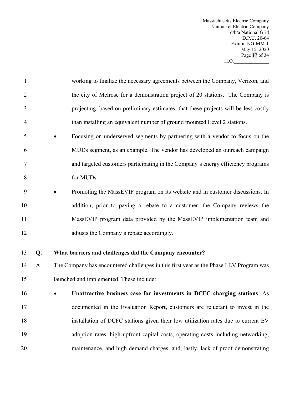Massachusetts Electric Company Nantucket Electric Company d/b/a National Grid D.P.U. 20-64 Exhibit NG-MM-1 May 15, 2020 Page 17 of 34  $H.O.$ 

- working to finalize the necessary agreements between the Company, Verizon, and 2 the city of Melrose for a demonstration project of 20 stations. The Company is projecting, based on preliminary estimates, that these projects will be less costly than installing an equivalent number of ground mounted Level 2 stations.
- Focusing on underserved segments by partnering with a vendor to focus on the MUDs segment, as an example. The vendor has developed an outreach campaign and targeted customers participating in the Company's energy efficiency programs for MUDs.
- Promoting the MassEVIP program on its website and in customer discussions. In addition, prior to paying a rebate to a customer, the Company reviews the MassEVIP program data provided by the MassEVIP implementation team and adjusts the Company's rebate accordingly.
- 

# **Q. What barriers and challenges did the Company encounter?**

- A. The Company has encountered challenges in this first year as the Phase I EV Program was launched and implemented. These include:
- **Unattractive business case for investments in DCFC charging stations**: As documented in the Evaluation Report, customers are reluctant to invest in the installation of DCFC stations given their low utilization rates due to current EV adoption rates, high upfront capital costs, operating costs including networking, maintenance, and high demand charges, and, lastly, lack of proof demonstrating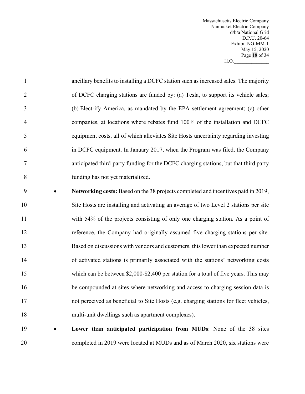Massachusetts Electric Company Nantucket Electric Company d/b/a National Grid D.P.U. 20-64 Exhibit NG-MM-1 May 15, 2020 Page 18 of 34  $H.O.$ 

| $\mathbf{1}$   | ancillary benefits to installing a DCFC station such as increased sales. The majority |
|----------------|---------------------------------------------------------------------------------------|
| 2              | of DCFC charging stations are funded by: (a) Tesla, to support its vehicle sales;     |
| 3              | (b) Electrify America, as mandated by the EPA settlement agreement; (c) other         |
| $\overline{4}$ | companies, at locations where rebates fund 100% of the installation and DCFC          |
| 5              | equipment costs, all of which alleviates Site Hosts uncertainty regarding investing   |
| 6              | in DCFC equipment. In January 2017, when the Program was filed, the Company           |
| 7              | anticipated third-party funding for the DCFC charging stations, but that third party  |
| 8              | funding has not yet materialized.                                                     |

- **Networking costs:** Based on the 38 projects completed and incentives paid in 2019, Site Hosts are installing and activating an average of two Level 2 stations per site with 54% of the projects consisting of only one charging station. As a point of reference, the Company had originally assumed five charging stations per site. Based on discussions with vendors and customers, this lower than expected number of activated stations is primarily associated with the stations' networking costs 15 which can be between \$2,000-\$2,400 per station for a total of five years. This may be compounded at sites where networking and access to charging session data is not perceived as beneficial to Site Hosts (e.g. charging stations for fleet vehicles, multi-unit dwellings such as apartment complexes).
- **Lower than anticipated participation from MUDs**: None of the 38 sites completed in 2019 were located at MUDs and as of March 2020, six stations were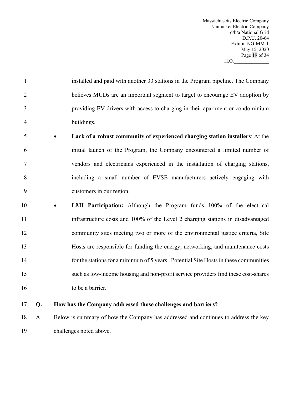Massachusetts Electric Company Nantucket Electric Company d/b/a National Grid D.P.U. 20-64 Exhibit NG-MM-1 May 15, 2020 Page 19 of 34  $H.O.$ 

|   | installed and paid with another 33 stations in the Program pipeline. The Company |
|---|----------------------------------------------------------------------------------|
|   | believes MUDs are an important segment to target to encourage EV adoption by     |
| 3 | providing EV drivers with access to charging in their apartment or condominium   |
| 4 | buildings.                                                                       |

- **Lack of a robust community of experienced charging station installers**: At the initial launch of the Program, the Company encountered a limited number of vendors and electricians experienced in the installation of charging stations, including a small number of EVSE manufacturers actively engaging with customers in our region.
- **LMI Participation:** Although the Program funds 100% of the electrical infrastructure costs and 100% of the Level 2 charging stations in disadvantaged community sites meeting two or more of the environmental justice criteria, Site Hosts are responsible for funding the energy, networking, and maintenance costs for the stations for a minimum of 5 years. Potential Site Hosts in these communities such as low-income housing and non-profit service providers find these cost-shares 16 to be a barrier.

# **Q. How has the Company addressed those challenges and barriers?**

 A. Below is summary of how the Company has addressed and continues to address the key challenges noted above.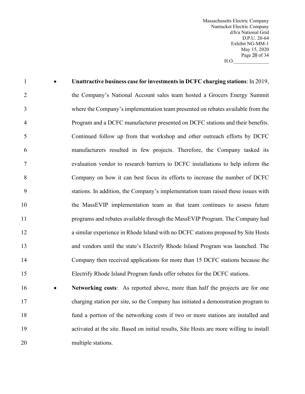Massachusetts Electric Company Nantucket Electric Company d/b/a National Grid D.P.U. 20-64 Exhibit NG-MM-1 May 15, 2020 Page 20 of 34 H.O.\_\_\_\_\_\_\_\_\_\_\_\_\_\_

| $\mathbf{1}$   | Unattractive business case for investments in DCFC charging stations: In 2019,    |
|----------------|-----------------------------------------------------------------------------------|
| $\overline{2}$ | the Company's National Account sales team hosted a Grocers Energy Summit          |
| 3              | where the Company's implementation team presented on rebates available from the   |
| $\overline{4}$ | Program and a DCFC manufacturer presented on DCFC stations and their benefits.    |
| 5              | Continued follow up from that workshop and other outreach efforts by DCFC         |
| 6              | manufacturers resulted in few projects. Therefore, the Company tasked its         |
| $\tau$         | evaluation vendor to research barriers to DCFC installations to help inform the   |
| 8              | Company on how it can best focus its efforts to increase the number of DCFC       |
| 9              | stations. In addition, the Company's implementation team raised these issues with |
| 10             | the MassEVIP implementation team as that team continues to assess future          |
| 11             | programs and rebates available through the MassEVIP Program. The Company had      |
| 12             | a similar experience in Rhode Island with no DCFC stations proposed by Site Hosts |
| 13             | and vendors until the state's Electrify Rhode Island Program was launched. The    |
| 14             | Company then received applications for more than 15 DCFC stations because the     |
| 15             | Electrify Rhode Island Program funds offer rebates for the DCFC stations.         |
| 16             | Networking costs: As reported above, more than half the projects are for one      |
|                |                                                                                   |

 charging station per site, so the Company has initiated a demonstration program to fund a portion of the networking costs if two or more stations are installed and activated at the site. Based on initial results, Site Hosts are more willing to install multiple stations.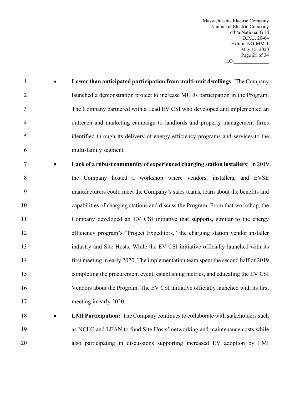Massachusetts Electric Company Nantucket Electric Company d/b/a National Grid D.P.U. 20-64 Exhibit NG-MM-1 May 15, 2020 Page 21 of 34  $H.O.$ 

- **Lower than anticipated participation from multi-unit dwellings**: The Company launched a demonstration project to increase MUDs participation in the Program. The Company partnered with a Lead EV CSI who developed and implemented an outreach and marketing campaign to landlords and property management firms identified through its delivery of energy efficiency programs and services to the multi-family segment.
- **Lack of a robust community of experienced charging station installers**: In 2019 the Company hosted a workshop where vendors, installers, and EVSE manufacturers could meet the Company's sales teams, learn about the benefits and capabilities of charging stations and discuss the Program. From that workshop, the Company developed an EV CSI initiative that supports, similar to the energy efficiency program's "Project Expeditors," the charging station vendor installer industry and Site Hosts. While the EV CSI initiative officially launched with its first meeting in early 2020, The implementation team spent the second half of 2019 completing the procurement event, establishing metrics, and educating the EV CSI Vendors about the Program. The EV CSI initiative officially launched with its first meeting in early 2020.
- **LMI Participation:** The Company continues to collaborate with stakeholders such as NCLC and LEAN to fund Site Hosts' networking and maintenance costs while also participating in discussions supporting increased EV adoption by LMI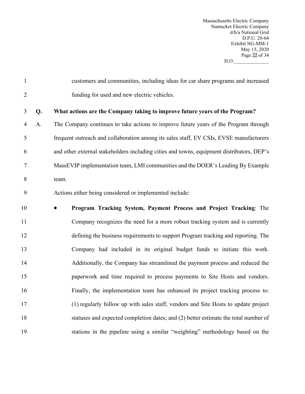Massachusetts Electric Company Nantucket Electric Company d/b/a National Grid D.P.U. 20-64 Exhibit NG-MM-1 May 15, 2020 Page 22 of 34 H.O.\_\_\_\_\_\_\_\_\_\_\_\_\_\_

| $\mathbf{1}$   |    | customers and communities, including ideas for car share programs and increased           |
|----------------|----|-------------------------------------------------------------------------------------------|
| $\overline{2}$ |    | funding for used and new electric vehicles.                                               |
| 3              | Q. | What actions are the Company taking to improve future years of the Program?               |
| $\overline{4}$ | A. | The Company continues to take actions to improve future years of the Program through      |
| 5              |    | frequent outreach and collaboration among its sales staff, EV CSIs, EVSE manufacturers    |
| 6              |    | and other external stakeholders including cities and towns, equipment distributors, DEP's |
| 7              |    | MassEVIP implementation team, LMI communities and the DOER's Leading By Example           |
| 8              |    | team.                                                                                     |
| 9              |    | Actions either being considered or implemented include:                                   |
| 10             |    | Program Tracking System, Payment Process and Project Tracking: The                        |
| 11             |    | Company recognizes the need for a more robust tracking system and is currently            |
| 12             |    | defining the business requirements to support Program tracking and reporting. The         |
| 13             |    | Company had included in its original budget funds to initiate this work.                  |
| 14             |    | Additionally, the Company has streamlined the payment process and reduced the             |
| 15             |    | paperwork and time required to process payments to Site Hosts and vendors.                |
| 16             |    | Finally, the implementation team has enhanced its project tracking process to:            |
| 17             |    | (1) regularly follow up with sales staff, vendors and Site Hosts to update project        |
| 18             |    | statuses and expected completion dates; and (2) better estimate the total number of       |
| 19             |    | stations in the pipeline using a similar "weighting" methodology based on the             |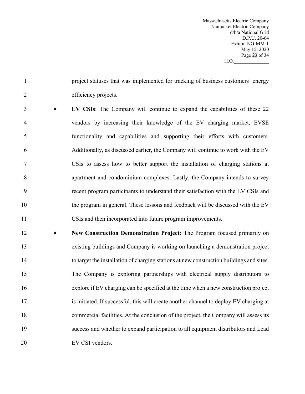Massachusetts Electric Company Nantucket Electric Company d/b/a National Grid D.P.U. 20-64 Exhibit NG-MM-1 May 15, 2020 Page 23 of 34  $H.O.$ 

 project statuses that was implemented for tracking of business customers' energy efficiency projects.

 • **EV CSIs**: The Company will continue to expand the capabilities of these 22 vendors by increasing their knowledge of the EV charging market, EVSE functionality and capabilities and supporting their efforts with customers. Additionally, as discussed earlier, the Company will continue to work with the EV CSIs to assess how to better support the installation of charging stations at apartment and condominium complexes. Lastly, the Company intends to survey recent program participants to understand their satisfaction with the EV CSIs and 10 the program in general. These lessons and feedback will be discussed with the EV CSIs and then incorporated into future program improvements.

 • **New Construction Demonstration Project:** The Program focused primarily on existing buildings and Company is working on launching a demonstration project to target the installation of charging stations at new construction buildings and sites. The Company is exploring partnerships with electrical supply distributors to explore if EV charging can be specified at the time when a new construction project 17 is initiated. If successful, this will create another channel to deploy EV charging at commercial facilities. At the conclusion of the project, the Company will assess its success and whether to expand participation to all equipment distributors and Lead 20 EV CSI vendors.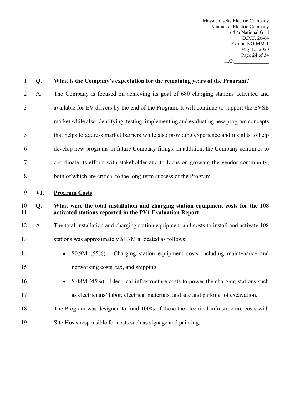Massachusetts Electric Company Nantucket Electric Company d/b/a National Grid D.P.U. 20-64 Exhibit NG-MM-1 May 15, 2020 Page 24 of 34 H.O.\_\_\_\_\_\_\_\_\_\_\_\_\_\_

| $\mathbf{1}$   | Q.  | What is the Company's expectation for the remaining years of the Program?                                                                     |
|----------------|-----|-----------------------------------------------------------------------------------------------------------------------------------------------|
| $\overline{2}$ | A.  | The Company is focused on achieving its goal of 680 charging stations activated and                                                           |
| 3              |     | available for EV drivers by the end of the Program. It will continue to support the EVSE                                                      |
| $\overline{4}$ |     | market while also identifying, testing, implementing and evaluating new program concepts                                                      |
| 5              |     | that helps to address market barriers while also providing experience and insights to help                                                    |
| 6              |     | develop new programs in future Company filings. In addition, the Company continues to                                                         |
| 7              |     | coordinate its efforts with stakeholder and to focus on growing the vendor community,                                                         |
| 8              |     | both of which are critical to the long-term success of the Program.                                                                           |
| 9              | VI. | <b>Program Costs</b>                                                                                                                          |
| 10<br>11       | Q.  | What were the total installation and charging station equipment costs for the 108<br>activated stations reported in the PY1 Evaluation Report |
| 12             | A.  | The total installation and charging station equipment and costs to install and activate 108                                                   |
| 13             |     | stations was approximately \$1.7M allocated as follows:                                                                                       |
| 14             |     | \$0.9M (55%) - Charging station equipment costs including maintenance and                                                                     |
| 15             |     | networking costs, tax, and shipping.                                                                                                          |
| 16             |     | \$.08M (45%) - Electrical infrastructure costs to power the charging stations such                                                            |
| 17             |     | as electricians' labor, electrical materials, and site and parking lot excavation.                                                            |
| 18             |     | The Program was designed to fund 100% of these the electrical infrastructure costs with                                                       |
| 19             |     | Site Hosts responsible for costs such as signage and painting.                                                                                |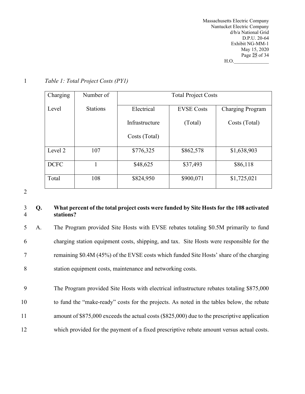Massachusetts Electric Company Nantucket Electric Company d/b/a National Grid D.P.U. 20-64 Exhibit NG-MM-1 May 15, 2020 Page 25 of 34  $H.O.$ 

| Charging    | Number of       | <b>Total Project Costs</b>      |           |                  |  |
|-------------|-----------------|---------------------------------|-----------|------------------|--|
| Level       | <b>Stations</b> | Electrical<br><b>EVSE Costs</b> |           | Charging Program |  |
|             |                 | Infrastructure                  | (Total)   | Costs (Total)    |  |
|             |                 | Costs (Total)                   |           |                  |  |
| Level 2     | 107             | \$776,325                       | \$862,578 | \$1,638,903      |  |
| <b>DCFC</b> |                 | \$48,625                        | \$37,493  | \$86,118         |  |
| Total       | 108             | \$824,950                       | \$900,071 | \$1,725,021      |  |

1 *Table 1: Total Project Costs (PY1)*

2

# 3 **Q. What percent of the total project costs were funded by Site Hosts for the 108 activated**  4 **stations?**

 A. The Program provided Site Hosts with EVSE rebates totaling \$0.5M primarily to fund charging station equipment costs, shipping, and tax. Site Hosts were responsible for the remaining \$0.4M (45%) of the EVSE costs which funded Site Hosts' share of the charging station equipment costs, maintenance and networking costs.

 The Program provided Site Hosts with electrical infrastructure rebates totaling \$875,000 to fund the "make-ready" costs for the projects. As noted in the tables below, the rebate amount of \$875,000 exceeds the actual costs (\$825,000) due to the prescriptive application which provided for the payment of a fixed prescriptive rebate amount versus actual costs.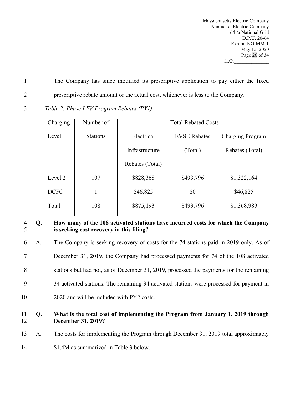Massachusetts Electric Company Nantucket Electric Company d/b/a National Grid D.P.U. 20-64 Exhibit NG-MM-1 May 15, 2020 Page 26 of 34  $H.O.$ 

1 The Company has since modified its prescriptive application to pay either the fixed 2 prescriptive rebate amount or the actual cost, whichever is less to the Company.

3 *Table 2: Phase I EV Program Rebates (PY1)*

| Charging    | Number of       | <b>Total Rebated Costs</b>        |           |                         |
|-------------|-----------------|-----------------------------------|-----------|-------------------------|
| Level       | <b>Stations</b> | <b>EVSE Rebates</b><br>Electrical |           | <b>Charging Program</b> |
|             |                 | Infrastructure                    | (Total)   | Rebates (Total)         |
|             |                 | Rebates (Total)                   |           |                         |
| Level 2     | 107             | \$828,368                         | \$493,796 | \$1,322,164             |
| <b>DCFC</b> |                 | \$46,825                          | \$0       | \$46,825                |
| Total       | 108             | \$875,193                         | \$493,796 | \$1,368,989             |

# 4 **Q. How many of the 108 activated stations have incurred costs for which the Company**  5 **is seeking cost recovery in this filing?**

 A. The Company is seeking recovery of costs for the 74 stations paid in 2019 only. As of December 31, 2019, the Company had processed payments for 74 of the 108 activated stations but had not, as of December 31, 2019, processed the payments for the remaining 34 activated stations. The remaining 34 activated stations were processed for payment in 2020 and will be included with PY2 costs.

# 11 **Q. What is the total cost of implementing the Program from January 1, 2019 through**  12 **December 31, 2019?**

13 A. The costs for implementing the Program through December 31, 2019 total approximately

14 \$1.4M as summarized in Table 3 below.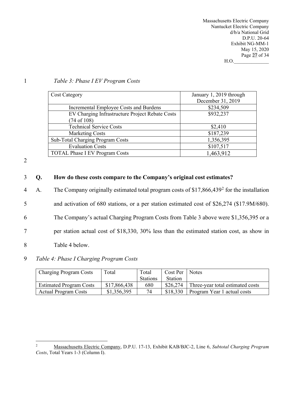Massachusetts Electric Company Nantucket Electric Company d/b/a National Grid D.P.U. 20-64 Exhibit NG-MM-1 May 15, 2020 Page 27 of 34  $H.O.$ 

#### 1 *Table 3: Phase I EV Program Costs*

| <b>Cost Category</b>                            | January 1, 2019 through<br>December 31, 2019 |
|-------------------------------------------------|----------------------------------------------|
| Incremental Employee Costs and Burdens          | \$234,509                                    |
| EV Charging Infrastructure Project Rebate Costs | \$932,237                                    |
| $(74 \text{ of } 108)$                          |                                              |
| <b>Technical Service Costs</b>                  | \$2,410                                      |
| <b>Marketing Costs</b>                          | \$187,239                                    |
| Sub-Total Charging Program Costs                | 1,356,395                                    |
| <b>Evaluation Costs</b>                         | \$107,517                                    |
| <b>TOTAL Phase I EV Program Costs</b>           | 1,463,912                                    |

2

#### 3 **Q. How do these costs compare to the Company's original cost estimates?**

4 A. The Company originally estimated total program costs of  $$17,866,439^2$  $$17,866,439^2$  for the installation

5 and activation of 680 stations, or a per station estimated cost of \$26,274 (\$17.9M/680).

6 The Company's actual Charging Program Costs from Table 3 above were \$1,356,395 or a

7 per station actual cost of \$18,330, 30% less than the estimated station cost, as show in

8 Table 4 below.

### 9 *Table 4: Phase I Charging Program Costs*

| <b>Charging Program Costs</b>  | Total        | Total           | Cost Per       | <b>Notes</b>                     |
|--------------------------------|--------------|-----------------|----------------|----------------------------------|
|                                |              | <b>Stations</b> | <b>Station</b> |                                  |
| <b>Estimated Program Costs</b> | \$17,866,438 | 680             | \$26,274       | Three-year total estimated costs |
| <b>Actual Program Costs</b>    | \$1,356,395  | 74              | \$18,330       | Program Year 1 actual costs      |

<span id="page-29-0"></span><sup>2</sup> Massachusetts Electric Company, D.P.U. 17-13, Exhibit KAB/BJC-2, Line 6, *Subtotal Charging Program Costs*, Total Years 1-3 (Column I).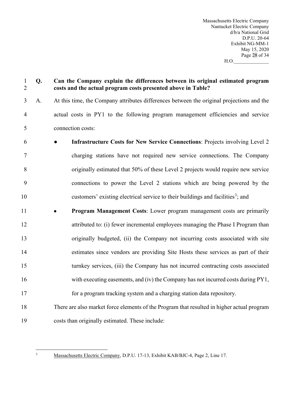Massachusetts Electric Company Nantucket Electric Company d/b/a National Grid D.P.U. 20-64 Exhibit NG-MM-1 May 15, 2020 Page 28 of 34  $H.O.$ 

# **Q. Can the Company explain the differences between its original estimated program costs and the actual program costs presented above in Table?**

- A. At this time, the Company attributes differences between the original projections and the actual costs in PY1 to the following program management efficiencies and service connection costs:
- **Infrastructure Costs for New Service Connections**: Projects involving Level 2 charging stations have not required new service connections. The Company originally estimated that 50% of these Level 2 projects would require new service connections to power the Level 2 stations which are being powered by the 10 customers' existing electrical service to their buildings and facilities<sup>[3](#page-30-0)</sup>; and
- **Program Management Costs**: Lower program management costs are primarily attributed to: (i) fewer incremental employees managing the Phase I Program than originally budgeted, (ii) the Company not incurring costs associated with site estimates since vendors are providing Site Hosts these services as part of their turnkey services, (iii) the Company has not incurred contracting costs associated with executing easements, and (iv) the Company has not incurred costs during PY1, for a program tracking system and a charging station data repository.
- There are also market force elements of the Program that resulted in higher actual program costs than originally estimated. These include:

<span id="page-30-0"></span>

Massachusetts Electric Company, D.P.U. 17-13, Exhibit KAB/BJC-4, Page 2, Line 17.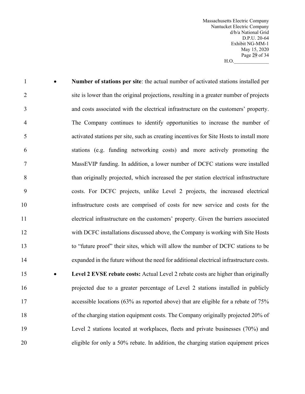Massachusetts Electric Company Nantucket Electric Company d/b/a National Grid D.P.U. 20-64 Exhibit NG-MM-1 May 15, 2020 Page 29 of 34  $H.O.$ 

 • **Number of stations per site**: the actual number of activated stations installed per 2 site is lower than the original projections, resulting in a greater number of projects and costs associated with the electrical infrastructure on the customers' property. The Company continues to identify opportunities to increase the number of activated stations per site, such as creating incentives for Site Hosts to install more stations (e.g. funding networking costs) and more actively promoting the MassEVIP funding. In addition, a lower number of DCFC stations were installed than originally projected, which increased the per station electrical infrastructure costs. For DCFC projects, unlike Level 2 projects, the increased electrical infrastructure costs are comprised of costs for new service and costs for the electrical infrastructure on the customers' property. Given the barriers associated with DCFC installations discussed above, the Company is working with Site Hosts to "future proof" their sites, which will allow the number of DCFC stations to be expanded in the future without the need for additional electrical infrastructure costs. • **Level 2 EVSE rebate costs:** Actual Level 2 rebate costs are higher than originally projected due to a greater percentage of Level 2 stations installed in publicly 17 accessible locations (63% as reported above) that are eligible for a rebate of 75% of the charging station equipment costs. The Company originally projected 20% of Level 2 stations located at workplaces, fleets and private businesses (70%) and eligible for only a 50% rebate. In addition, the charging station equipment prices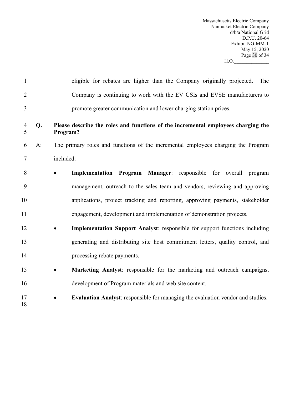Massachusetts Electric Company Nantucket Electric Company d/b/a National Grid D.P.U. 20-64 Exhibit NG-MM-1 May 15, 2020 Page 30 of 34  $H.O.$   $\qquad \qquad \qquad \qquad$ 

| $\mathbf{1}$   |       | eligible for rebates are higher than the Company originally projected.<br>The                 |
|----------------|-------|-----------------------------------------------------------------------------------------------|
| $\overline{2}$ |       | Company is continuing to work with the EV CSIs and EVSE manufacturers to                      |
| 3              |       | promote greater communication and lower charging station prices.                              |
| 4<br>5         | Q.    | Please describe the roles and functions of the incremental employees charging the<br>Program? |
| 6              | $A$ : | The primary roles and functions of the incremental employees charging the Program             |
| 7              |       | included:                                                                                     |
| 8              |       | Implementation Program Manager: responsible for overall program<br>$\bullet$                  |
| 9              |       | management, outreach to the sales team and vendors, reviewing and approving                   |
| 10             |       | applications, project tracking and reporting, approving payments, stakeholder                 |
| 11             |       | engagement, development and implementation of demonstration projects.                         |
| 12             |       | Implementation Support Analyst: responsible for support functions including<br>$\bullet$      |
| 13             |       | generating and distributing site host commitment letters, quality control, and                |
| 14             |       | processing rebate payments.                                                                   |
| 15             |       | Marketing Analyst: responsible for the marketing and outreach campaigns,<br>$\bullet$         |
| 16             |       | development of Program materials and web site content.                                        |
| 17<br>18       |       | <b>Evaluation Analyst:</b> responsible for managing the evaluation vendor and studies.        |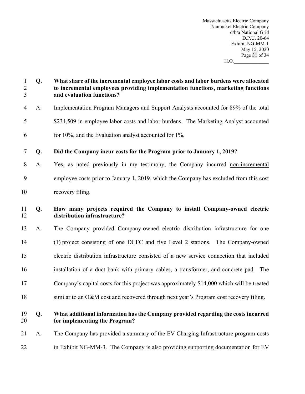Massachusetts Electric Company Nantucket Electric Company d/b/a National Grid D.P.U. 20-64 Exhibit NG-MM-1 May 15, 2020 Page 31 of 34 H.O.\_\_\_\_\_\_\_\_\_\_\_\_\_\_

| $\mathbf{1}$<br>$\frac{2}{3}$ | Q.    | What share of the incremental employee labor costs and labor burdens were allocated<br>to incremental employees providing implementation functions, marketing functions<br>and evaluation functions? |
|-------------------------------|-------|------------------------------------------------------------------------------------------------------------------------------------------------------------------------------------------------------|
| $\overline{4}$                | $A$ : | Implementation Program Managers and Support Analysts accounted for 89% of the total                                                                                                                  |
| 5                             |       | \$234,509 in employee labor costs and labor burdens. The Marketing Analyst accounted                                                                                                                 |
| 6                             |       | for 10%, and the Evaluation analyst accounted for 1%.                                                                                                                                                |
| $\overline{7}$                | Q.    | Did the Company incur costs for the Program prior to January 1, 2019?                                                                                                                                |
| 8                             | A.    | Yes, as noted previously in my testimony, the Company incurred non-incremental                                                                                                                       |
| 9                             |       | employee costs prior to January 1, 2019, which the Company has excluded from this cost                                                                                                               |
| 10                            |       | recovery filing.                                                                                                                                                                                     |
| 11<br>12                      | Q.    | How many projects required the Company to install Company-owned electric<br>distribution infrastructure?                                                                                             |
| 13                            | A.    | The Company provided Company-owned electric distribution infrastructure for one                                                                                                                      |
| 14                            |       | (1) project consisting of one DCFC and five Level 2 stations. The Company-owned                                                                                                                      |
| 15                            |       | electric distribution infrastructure consisted of a new service connection that included                                                                                                             |
| 16                            |       | installation of a duct bank with primary cables, a transformer, and concrete pad. The                                                                                                                |
| 17                            |       | Company's capital costs for this project was approximately \$14,000 which will be treated                                                                                                            |
| 18                            |       | similar to an O&M cost and recovered through next year's Program cost recovery filing.                                                                                                               |
| 19<br>20                      | Q.    | What additional information has the Company provided regarding the costs incurred<br>for implementing the Program?                                                                                   |
| 21                            | A.    | The Company has provided a summary of the EV Charging Infrastructure program costs                                                                                                                   |
| 22                            |       | in Exhibit NG-MM-3. The Company is also providing supporting documentation for EV                                                                                                                    |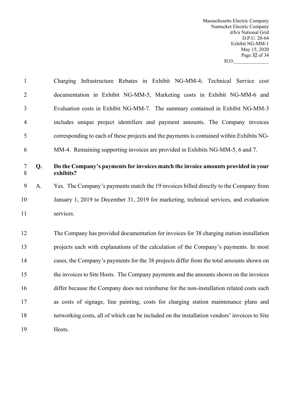Massachusetts Electric Company Nantucket Electric Company d/b/a National Grid D.P.U. 20-64 Exhibit NG-MM-1 May 15, 2020 Page 32 of 34  $H.O.$ 

| $\mathbf{1}$   |    | Charging Infrastructure Rebates in Exhibit NG-MM-4; Technical Service cost                     |
|----------------|----|------------------------------------------------------------------------------------------------|
| $\overline{2}$ |    | documentation in Exhibit NG-MM-5, Marketing costs in Exhibit NG-MM-6 and                       |
| 3              |    | Evaluation costs in Exhibit NG-MM-7. The summary contained in Exhibit NG-MM-3                  |
| $\overline{4}$ |    | includes unique project identifiers and payment amounts. The Company invoices                  |
| 5              |    | corresponding to each of these projects and the payments is contained within Exhibits NG-      |
| 6              |    | MM-4. Remaining supporting invoices are provided in Exhibits NG-MM-5, 6 and 7.                 |
| $\tau$<br>8    | Q. | Do the Company's payments for invoices match the invoice amounts provided in your<br>exhibits? |
| 9              | A. | Yes. The Company's payments match the 19 invoices billed directly to the Company from          |
| 10             |    | January 1, 2019 to December 31, 2019 for marketing, technical services, and evaluation         |
| 11             |    | services.                                                                                      |
| 12             |    | The Company has provided documentation for invoices for 38 charging station installation       |
| 13             |    | projects each with explanations of the calculation of the Company's payments. In most          |
| 14             |    | cases, the Company's payments for the 38 projects differ from the total amounts shown on       |
| 15             |    | the invoices to Site Hosts. The Company payments and the amounts shown on the invoices         |
| 16             |    | differ because the Company does not reimburse for the non-installation related costs such      |
| 17             |    | as costs of signage, line painting, costs for charging station maintenance plans and           |
| 18             |    | networking costs, all of which can be included on the installation vendors' invoices to Site   |
| 19             |    | Hosts.                                                                                         |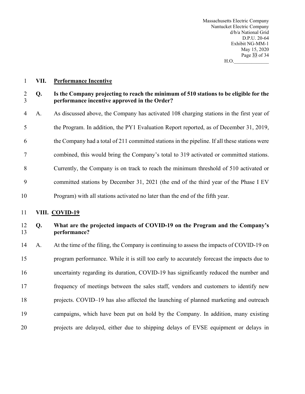Massachusetts Electric Company Nantucket Electric Company d/b/a National Grid D.P.U. 20-64 Exhibit NG-MM-1 May 15, 2020 Page 33 of 34  $H.O.$ 

**VII. Performance Incentive**

### **Q. Is the Company projecting to reach the minimum of 510 stations to be eligible for the performance incentive approved in the Order?**

 A. As discussed above, the Company has activated 108 charging stations in the first year of the Program. In addition, the PY1 Evaluation Report reported, as of December 31, 2019, 6 the Company had a total of 211 committed stations in the pipeline. If all these stations were combined, this would bring the Company's total to 319 activated or committed stations. Currently, the Company is on track to reach the minimum threshold of 510 activated or committed stations by December 31, 2021 (the end of the third year of the Phase I EV Program) with all stations activated no later than the end of the fifth year.

**VIII. COVID-19**

# **Q. What are the projected impacts of COVID-19 on the Program and the Company's performance?**

 A. At the time of the filing, the Company is continuing to assess the impacts of COVID-19 on program performance. While it is still too early to accurately forecast the impacts due to uncertainty regarding its duration, COVID-19 has significantly reduced the number and frequency of meetings between the sales staff, vendors and customers to identify new projects. COVID–19 has also affected the launching of planned marketing and outreach campaigns, which have been put on hold by the Company. In addition, many existing projects are delayed, either due to shipping delays of EVSE equipment or delays in